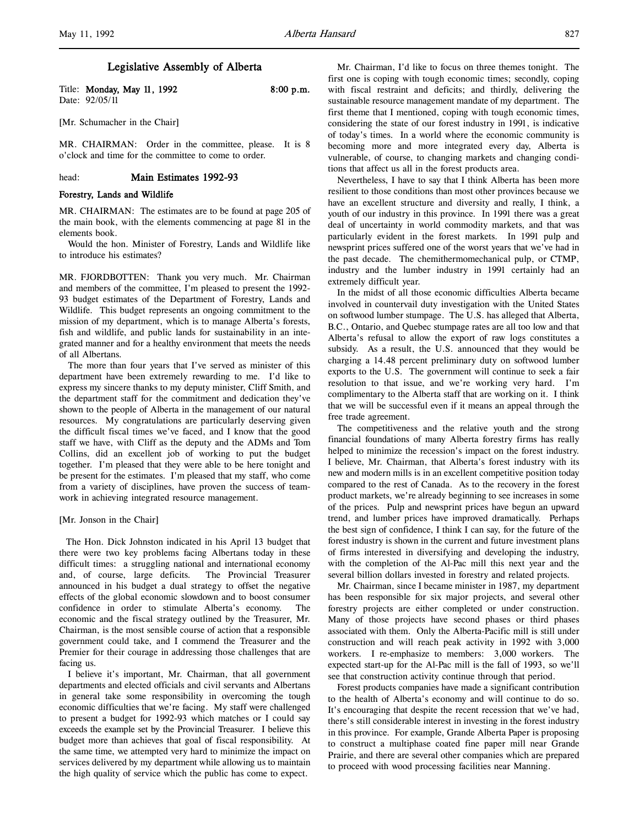# Legislative Assembly of Alberta

Title: Monday, May 11, 1992 8:00 p.m. Date: 92/05/11

[Mr. Schumacher in the Chair]

MR. CHAIRMAN: Order in the committee, please. It is 8 o'clock and time for the committee to come to order.

# head: Main Estimates 1992-93

## Forestry, Lands and Wildlife

MR. CHAIRMAN: The estimates are to be found at page 205 of the main book, with the elements commencing at page 81 in the elements book.

Would the hon. Minister of Forestry, Lands and Wildlife like to introduce his estimates?

MR. FJORDBOTTEN: Thank you very much. Mr. Chairman and members of the committee, I'm pleased to present the 1992- 93 budget estimates of the Department of Forestry, Lands and Wildlife. This budget represents an ongoing commitment to the mission of my department, which is to manage Alberta's forests, fish and wildlife, and public lands for sustainability in an integrated manner and for a healthy environment that meets the needs of all Albertans.

The more than four years that I've served as minister of this department have been extremely rewarding to me. I'd like to express my sincere thanks to my deputy minister, Cliff Smith, and the department staff for the commitment and dedication they've shown to the people of Alberta in the management of our natural resources. My congratulations are particularly deserving given the difficult fiscal times we've faced, and I know that the good staff we have, with Cliff as the deputy and the ADMs and Tom Collins, did an excellent job of working to put the budget together. I'm pleased that they were able to be here tonight and be present for the estimates. I'm pleased that my staff, who come from a variety of disciplines, have proven the success of teamwork in achieving integrated resource management.

#### [Mr. Jonson in the Chair]

 The Hon. Dick Johnston indicated in his April 13 budget that there were two key problems facing Albertans today in these difficult times: a struggling national and international economy and, of course, large deficits. The Provincial Treasurer announced in his budget a dual strategy to offset the negative effects of the global economic slowdown and to boost consumer confidence in order to stimulate Alberta's economy. economic and the fiscal strategy outlined by the Treasurer, Mr. Chairman, is the most sensible course of action that a responsible government could take, and I commend the Treasurer and the Premier for their courage in addressing those challenges that are facing us.

I believe it's important, Mr. Chairman, that all government departments and elected officials and civil servants and Albertans in general take some responsibility in overcoming the tough economic difficulties that we're facing. My staff were challenged to present a budget for 1992-93 which matches or I could say exceeds the example set by the Provincial Treasurer. I believe this budget more than achieves that goal of fiscal responsibility. At the same time, we attempted very hard to minimize the impact on services delivered by my department while allowing us to maintain the high quality of service which the public has come to expect.

Mr. Chairman, I'd like to focus on three themes tonight. The first one is coping with tough economic times; secondly, coping with fiscal restraint and deficits; and thirdly, delivering the sustainable resource management mandate of my department. The first theme that I mentioned, coping with tough economic times, considering the state of our forest industry in 1991, is indicative of today's times. In a world where the economic community is becoming more and more integrated every day, Alberta is vulnerable, of course, to changing markets and changing conditions that affect us all in the forest products area.

Nevertheless, I have to say that I think Alberta has been more resilient to those conditions than most other provinces because we have an excellent structure and diversity and really, I think, a youth of our industry in this province. In 1991 there was a great deal of uncertainty in world commodity markets, and that was particularly evident in the forest markets. In 1991 pulp and newsprint prices suffered one of the worst years that we've had in the past decade. The chemithermomechanical pulp, or CTMP, industry and the lumber industry in 1991 certainly had an extremely difficult year.

In the midst of all those economic difficulties Alberta became involved in countervail duty investigation with the United States on softwood lumber stumpage. The U.S. has alleged that Alberta, B.C., Ontario, and Quebec stumpage rates are all too low and that Alberta's refusal to allow the export of raw logs constitutes a subsidy. As a result, the U.S. announced that they would be charging a 14.48 percent preliminary duty on softwood lumber exports to the U.S. The government will continue to seek a fair resolution to that issue, and we're working very hard. I'm complimentary to the Alberta staff that are working on it. I think that we will be successful even if it means an appeal through the free trade agreement.

The competitiveness and the relative youth and the strong financial foundations of many Alberta forestry firms has really helped to minimize the recession's impact on the forest industry. I believe, Mr. Chairman, that Alberta's forest industry with its new and modern mills is in an excellent competitive position today compared to the rest of Canada. As to the recovery in the forest product markets, we're already beginning to see increases in some of the prices. Pulp and newsprint prices have begun an upward trend, and lumber prices have improved dramatically. Perhaps the best sign of confidence, I think I can say, for the future of the forest industry is shown in the current and future investment plans of firms interested in diversifying and developing the industry, with the completion of the Al-Pac mill this next year and the several billion dollars invested in forestry and related projects.

Mr. Chairman, since I became minister in 1987, my department has been responsible for six major projects, and several other forestry projects are either completed or under construction. Many of those projects have second phases or third phases associated with them. Only the Alberta-Pacific mill is still under construction and will reach peak activity in 1992 with 3,000 workers. I re-emphasize to members: 3,000 workers. The expected start-up for the Al-Pac mill is the fall of 1993, so we'll see that construction activity continue through that period.

Forest products companies have made a significant contribution to the health of Alberta's economy and will continue to do so. It's encouraging that despite the recent recession that we've had, there's still considerable interest in investing in the forest industry in this province. For example, Grande Alberta Paper is proposing to construct a multiphase coated fine paper mill near Grande Prairie, and there are several other companies which are prepared to proceed with wood processing facilities near Manning.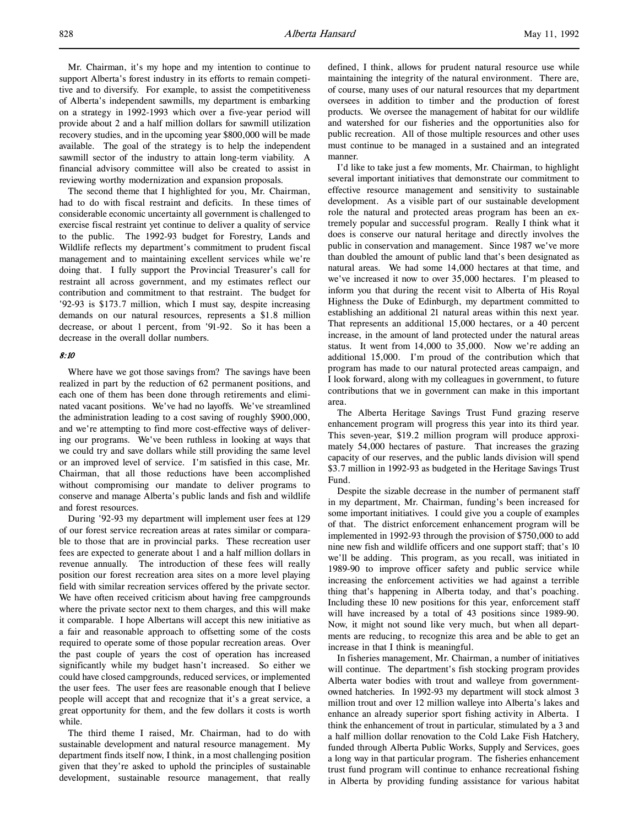Mr. Chairman, it's my hope and my intention to continue to support Alberta's forest industry in its efforts to remain competitive and to diversify. For example, to assist the competitiveness of Alberta's independent sawmills, my department is embarking on a strategy in 1992-1993 which over a five-year period will provide about 2 and a half million dollars for sawmill utilization recovery studies, and in the upcoming year \$800,000 will be made available. The goal of the strategy is to help the independent sawmill sector of the industry to attain long-term viability. A financial advisory committee will also be created to assist in reviewing worthy modernization and expansion proposals.

The second theme that I highlighted for you, Mr. Chairman, had to do with fiscal restraint and deficits. In these times of considerable economic uncertainty all government is challenged to exercise fiscal restraint yet continue to deliver a quality of service to the public. The 1992-93 budget for Forestry, Lands and Wildlife reflects my department's commitment to prudent fiscal management and to maintaining excellent services while we're doing that. I fully support the Provincial Treasurer's call for restraint all across government, and my estimates reflect our contribution and commitment to that restraint. The budget for '92-93 is \$173.7 million, which I must say, despite increasing demands on our natural resources, represents a \$1.8 million decrease, or about 1 percent, from '91-92. So it has been a decrease in the overall dollar numbers.

### 8:10

Where have we got those savings from? The savings have been realized in part by the reduction of 62 permanent positions, and each one of them has been done through retirements and eliminated vacant positions. We've had no layoffs. We've streamlined the administration leading to a cost saving of roughly \$900,000, and we're attempting to find more cost-effective ways of delivering our programs. We've been ruthless in looking at ways that we could try and save dollars while still providing the same level or an improved level of service. I'm satisfied in this case, Mr. Chairman, that all those reductions have been accomplished without compromising our mandate to deliver programs to conserve and manage Alberta's public lands and fish and wildlife and forest resources.

During '92-93 my department will implement user fees at 129 of our forest service recreation areas at rates similar or comparable to those that are in provincial parks. These recreation user fees are expected to generate about 1 and a half million dollars in revenue annually. The introduction of these fees will really position our forest recreation area sites on a more level playing field with similar recreation services offered by the private sector. We have often received criticism about having free campgrounds where the private sector next to them charges, and this will make it comparable. I hope Albertans will accept this new initiative as a fair and reasonable approach to offsetting some of the costs required to operate some of those popular recreation areas. Over the past couple of years the cost of operation has increased significantly while my budget hasn't increased. So either we could have closed campgrounds, reduced services, or implemented the user fees. The user fees are reasonable enough that I believe people will accept that and recognize that it's a great service, a great opportunity for them, and the few dollars it costs is worth while.

The third theme I raised, Mr. Chairman, had to do with sustainable development and natural resource management. My department finds itself now, I think, in a most challenging position given that they're asked to uphold the principles of sustainable development, sustainable resource management, that really

defined, I think, allows for prudent natural resource use while maintaining the integrity of the natural environment. There are, of course, many uses of our natural resources that my department oversees in addition to timber and the production of forest products. We oversee the management of habitat for our wildlife and watershed for our fisheries and the opportunities also for public recreation. All of those multiple resources and other uses must continue to be managed in a sustained and an integrated manner.

I'd like to take just a few moments, Mr. Chairman, to highlight several important initiatives that demonstrate our commitment to effective resource management and sensitivity to sustainable development. As a visible part of our sustainable development role the natural and protected areas program has been an extremely popular and successful program. Really I think what it does is conserve our natural heritage and directly involves the public in conservation and management. Since 1987 we've more than doubled the amount of public land that's been designated as natural areas. We had some 14,000 hectares at that time, and we've increased it now to over 35,000 hectares. I'm pleased to inform you that during the recent visit to Alberta of His Royal Highness the Duke of Edinburgh, my department committed to establishing an additional 21 natural areas within this next year. That represents an additional 15,000 hectares, or a 40 percent increase, in the amount of land protected under the natural areas status. It went from 14,000 to 35,000. Now we're adding an additional 15,000. I'm proud of the contribution which that program has made to our natural protected areas campaign, and I look forward, along with my colleagues in government, to future contributions that we in government can make in this important area.

The Alberta Heritage Savings Trust Fund grazing reserve enhancement program will progress this year into its third year. This seven-year, \$19.2 million program will produce approximately 54,000 hectares of pasture. That increases the grazing capacity of our reserves, and the public lands division will spend \$3.7 million in 1992-93 as budgeted in the Heritage Savings Trust Fund.

Despite the sizable decrease in the number of permanent staff in my department, Mr. Chairman, funding's been increased for some important initiatives. I could give you a couple of examples of that. The district enforcement enhancement program will be implemented in 1992-93 through the provision of \$750,000 to add nine new fish and wildlife officers and one support staff; that's 10 we'll be adding. This program, as you recall, was initiated in 1989-90 to improve officer safety and public service while increasing the enforcement activities we had against a terrible thing that's happening in Alberta today, and that's poaching. Including these 10 new positions for this year, enforcement staff will have increased by a total of 43 positions since 1989-90. Now, it might not sound like very much, but when all departments are reducing, to recognize this area and be able to get an increase in that I think is meaningful.

In fisheries management, Mr. Chairman, a number of initiatives will continue. The department's fish stocking program provides Alberta water bodies with trout and walleye from governmentowned hatcheries. In 1992-93 my department will stock almost 3 million trout and over 12 million walleye into Alberta's lakes and enhance an already superior sport fishing activity in Alberta. I think the enhancement of trout in particular, stimulated by a 3 and a half million dollar renovation to the Cold Lake Fish Hatchery, funded through Alberta Public Works, Supply and Services, goes a long way in that particular program. The fisheries enhancement trust fund program will continue to enhance recreational fishing in Alberta by providing funding assistance for various habitat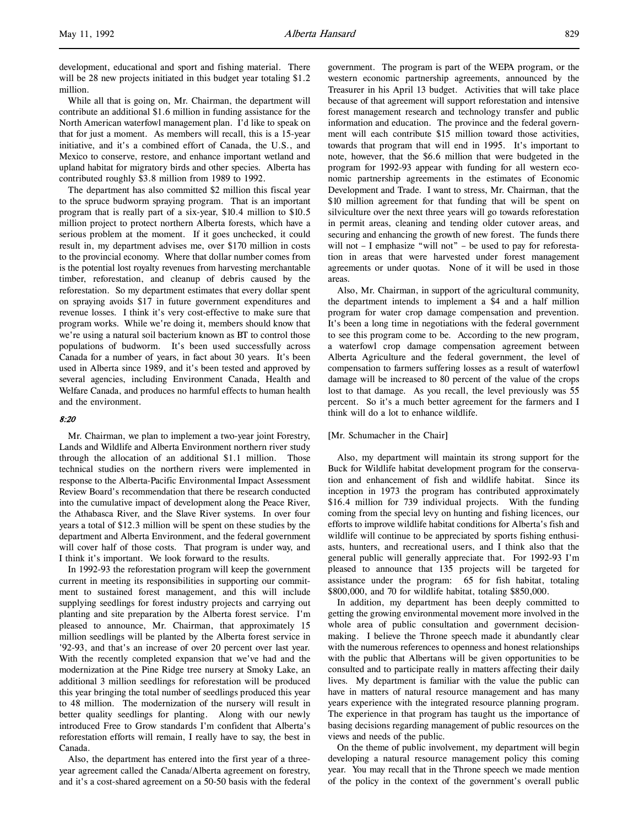development, educational and sport and fishing material. There will be 28 new projects initiated in this budget year totaling \$1.2 million.

While all that is going on, Mr. Chairman, the department will contribute an additional \$1.6 million in funding assistance for the North American waterfowl management plan. I'd like to speak on that for just a moment. As members will recall, this is a 15-year initiative, and it's a combined effort of Canada, the U.S., and Mexico to conserve, restore, and enhance important wetland and upland habitat for migratory birds and other species. Alberta has contributed roughly \$3.8 million from 1989 to 1992.

The department has also committed \$2 million this fiscal year to the spruce budworm spraying program. That is an important program that is really part of a six-year, \$10.4 million to \$10.5 million project to protect northern Alberta forests, which have a serious problem at the moment. If it goes unchecked, it could result in, my department advises me, over \$170 million in costs to the provincial economy. Where that dollar number comes from is the potential lost royalty revenues from harvesting merchantable timber, reforestation, and cleanup of debris caused by the reforestation. So my department estimates that every dollar spent on spraying avoids \$17 in future government expenditures and revenue losses. I think it's very cost-effective to make sure that program works. While we're doing it, members should know that we're using a natural soil bacterium known as BT to control those populations of budworm. It's been used successfully across Canada for a number of years, in fact about 30 years. It's been used in Alberta since 1989, and it's been tested and approved by several agencies, including Environment Canada, Health and Welfare Canada, and produces no harmful effects to human health and the environment.

# 8:20

Mr. Chairman, we plan to implement a two-year joint Forestry, Lands and Wildlife and Alberta Environment northern river study through the allocation of an additional \$1.1 million. Those technical studies on the northern rivers were implemented in response to the Alberta-Pacific Environmental Impact Assessment Review Board's recommendation that there be research conducted into the cumulative impact of development along the Peace River, the Athabasca River, and the Slave River systems. In over four years a total of \$12.3 million will be spent on these studies by the department and Alberta Environment, and the federal government will cover half of those costs. That program is under way, and I think it's important. We look forward to the results.

In 1992-93 the reforestation program will keep the government current in meeting its responsibilities in supporting our commitment to sustained forest management, and this will include supplying seedlings for forest industry projects and carrying out planting and site preparation by the Alberta forest service. I'm pleased to announce, Mr. Chairman, that approximately 15 million seedlings will be planted by the Alberta forest service in '92-93, and that's an increase of over 20 percent over last year. With the recently completed expansion that we've had and the modernization at the Pine Ridge tree nursery at Smoky Lake, an additional 3 million seedlings for reforestation will be produced this year bringing the total number of seedlings produced this year to 48 million. The modernization of the nursery will result in better quality seedlings for planting. Along with our newly introduced Free to Grow standards I'm confident that Alberta's reforestation efforts will remain, I really have to say, the best in Canada.

Also, the department has entered into the first year of a threeyear agreement called the Canada/Alberta agreement on forestry, and it's a cost-shared agreement on a 50-50 basis with the federal government. The program is part of the WEPA program, or the western economic partnership agreements, announced by the Treasurer in his April 13 budget. Activities that will take place because of that agreement will support reforestation and intensive forest management research and technology transfer and public information and education. The province and the federal government will each contribute \$15 million toward those activities, towards that program that will end in 1995. It's important to note, however, that the \$6.6 million that were budgeted in the program for 1992-93 appear with funding for all western economic partnership agreements in the estimates of Economic Development and Trade. I want to stress, Mr. Chairman, that the \$10 million agreement for that funding that will be spent on silviculture over the next three years will go towards reforestation in permit areas, cleaning and tending older cutover areas, and securing and enhancing the growth of new forest. The funds there will not – I emphasize "will not" – be used to pay for reforestation in areas that were harvested under forest management agreements or under quotas. None of it will be used in those areas.

Also, Mr. Chairman, in support of the agricultural community, the department intends to implement a \$4 and a half million program for water crop damage compensation and prevention. It's been a long time in negotiations with the federal government to see this program come to be. According to the new program, a waterfowl crop damage compensation agreement between Alberta Agriculture and the federal government, the level of compensation to farmers suffering losses as a result of waterfowl damage will be increased to 80 percent of the value of the crops lost to that damage. As you recall, the level previously was 55 percent. So it's a much better agreement for the farmers and I think will do a lot to enhance wildlife.

### [Mr. Schumacher in the Chair]

Also, my department will maintain its strong support for the Buck for Wildlife habitat development program for the conservation and enhancement of fish and wildlife habitat. Since its inception in 1973 the program has contributed approximately \$16.4 million for 739 individual projects. With the funding coming from the special levy on hunting and fishing licences, our efforts to improve wildlife habitat conditions for Alberta's fish and wildlife will continue to be appreciated by sports fishing enthusiasts, hunters, and recreational users, and I think also that the general public will generally appreciate that. For 1992-93 I'm pleased to announce that 135 projects will be targeted for assistance under the program: 65 for fish habitat, totaling \$800,000, and 70 for wildlife habitat, totaling \$850,000.

In addition, my department has been deeply committed to getting the growing environmental movement more involved in the whole area of public consultation and government decisionmaking. I believe the Throne speech made it abundantly clear with the numerous references to openness and honest relationships with the public that Albertans will be given opportunities to be consulted and to participate really in matters affecting their daily lives. My department is familiar with the value the public can have in matters of natural resource management and has many years experience with the integrated resource planning program. The experience in that program has taught us the importance of basing decisions regarding management of public resources on the views and needs of the public.

On the theme of public involvement, my department will begin developing a natural resource management policy this coming year. You may recall that in the Throne speech we made mention of the policy in the context of the government's overall public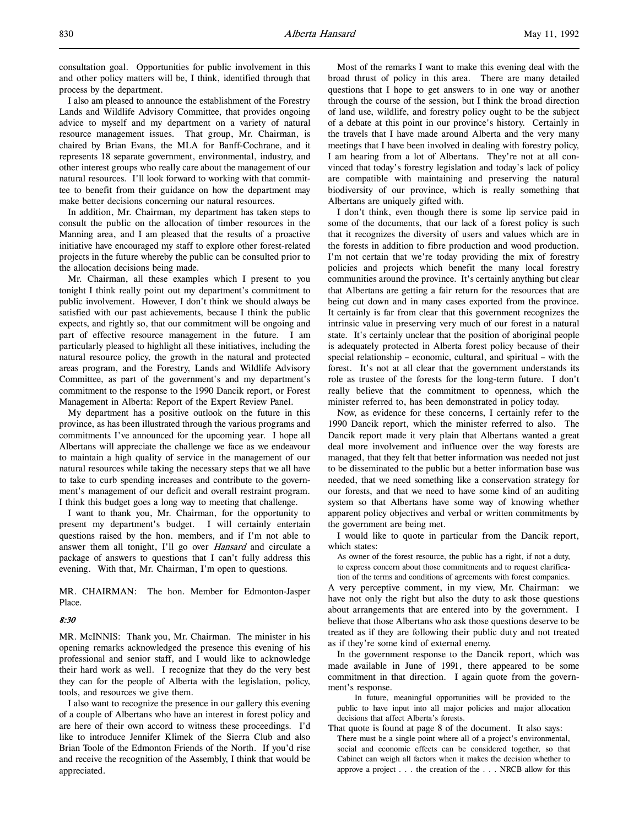I also am pleased to announce the establishment of the Forestry Lands and Wildlife Advisory Committee, that provides ongoing advice to myself and my department on a variety of natural resource management issues. That group, Mr. Chairman, is chaired by Brian Evans, the MLA for Banff-Cochrane, and it represents 18 separate government, environmental, industry, and other interest groups who really care about the management of our natural resources. I'll look forward to working with that committee to benefit from their guidance on how the department may make better decisions concerning our natural resources.

In addition, Mr. Chairman, my department has taken steps to consult the public on the allocation of timber resources in the Manning area, and I am pleased that the results of a proactive initiative have encouraged my staff to explore other forest-related projects in the future whereby the public can be consulted prior to the allocation decisions being made.

Mr. Chairman, all these examples which I present to you tonight I think really point out my department's commitment to public involvement. However, I don't think we should always be satisfied with our past achievements, because I think the public expects, and rightly so, that our commitment will be ongoing and part of effective resource management in the future. I am particularly pleased to highlight all these initiatives, including the natural resource policy, the growth in the natural and protected areas program, and the Forestry, Lands and Wildlife Advisory Committee, as part of the government's and my department's commitment to the response to the 1990 Dancik report, or Forest Management in Alberta: Report of the Expert Review Panel.

My department has a positive outlook on the future in this province, as has been illustrated through the various programs and commitments I've announced for the upcoming year. I hope all Albertans will appreciate the challenge we face as we endeavour to maintain a high quality of service in the management of our natural resources while taking the necessary steps that we all have to take to curb spending increases and contribute to the government's management of our deficit and overall restraint program. I think this budget goes a long way to meeting that challenge.

I want to thank you, Mr. Chairman, for the opportunity to present my department's budget. I will certainly entertain questions raised by the hon. members, and if I'm not able to answer them all tonight, I'll go over *Hansard* and circulate a package of answers to questions that I can't fully address this evening. With that, Mr. Chairman, I'm open to questions.

MR. CHAIRMAN: The hon. Member for Edmonton-Jasper Place.

# 8:30

MR. McINNIS: Thank you, Mr. Chairman. The minister in his opening remarks acknowledged the presence this evening of his professional and senior staff, and I would like to acknowledge their hard work as well. I recognize that they do the very best they can for the people of Alberta with the legislation, policy, tools, and resources we give them.

I also want to recognize the presence in our gallery this evening of a couple of Albertans who have an interest in forest policy and are here of their own accord to witness these proceedings. I'd like to introduce Jennifer Klimek of the Sierra Club and also Brian Toole of the Edmonton Friends of the North. If you'd rise and receive the recognition of the Assembly, I think that would be appreciated.

Most of the remarks I want to make this evening deal with the broad thrust of policy in this area. There are many detailed questions that I hope to get answers to in one way or another through the course of the session, but I think the broad direction of land use, wildlife, and forestry policy ought to be the subject of a debate at this point in our province's history. Certainly in the travels that I have made around Alberta and the very many meetings that I have been involved in dealing with forestry policy, I am hearing from a lot of Albertans. They're not at all convinced that today's forestry legislation and today's lack of policy are compatible with maintaining and preserving the natural biodiversity of our province, which is really something that Albertans are uniquely gifted with.

I don't think, even though there is some lip service paid in some of the documents, that our lack of a forest policy is such that it recognizes the diversity of users and values which are in the forests in addition to fibre production and wood production. I'm not certain that we're today providing the mix of forestry policies and projects which benefit the many local forestry communities around the province. It's certainly anything but clear that Albertans are getting a fair return for the resources that are being cut down and in many cases exported from the province. It certainly is far from clear that this government recognizes the intrinsic value in preserving very much of our forest in a natural state. It's certainly unclear that the position of aboriginal people is adequately protected in Alberta forest policy because of their special relationship – economic, cultural, and spiritual – with the forest. It's not at all clear that the government understands its role as trustee of the forests for the long-term future. I don't really believe that the commitment to openness, which the minister referred to, has been demonstrated in policy today.

Now, as evidence for these concerns, I certainly refer to the 1990 Dancik report, which the minister referred to also. The Dancik report made it very plain that Albertans wanted a great deal more involvement and influence over the way forests are managed, that they felt that better information was needed not just to be disseminated to the public but a better information base was needed, that we need something like a conservation strategy for our forests, and that we need to have some kind of an auditing system so that Albertans have some way of knowing whether apparent policy objectives and verbal or written commitments by the government are being met.

I would like to quote in particular from the Dancik report, which states:

As owner of the forest resource, the public has a right, if not a duty, to express concern about those commitments and to request clarification of the terms and conditions of agreements with forest companies.

A very perceptive comment, in my view, Mr. Chairman: we have not only the right but also the duty to ask those questions about arrangements that are entered into by the government. I believe that those Albertans who ask those questions deserve to be treated as if they are following their public duty and not treated as if they're some kind of external enemy.

In the government response to the Dancik report, which was made available in June of 1991, there appeared to be some commitment in that direction. I again quote from the government's response.

In future, meaningful opportunities will be provided to the public to have input into all major policies and major allocation decisions that affect Alberta's forests.

That quote is found at page 8 of the document. It also says: There must be a single point where all of a project's environmental, social and economic effects can be considered together, so that Cabinet can weigh all factors when it makes the decision whether to approve a project . . . the creation of the . . . NRCB allow for this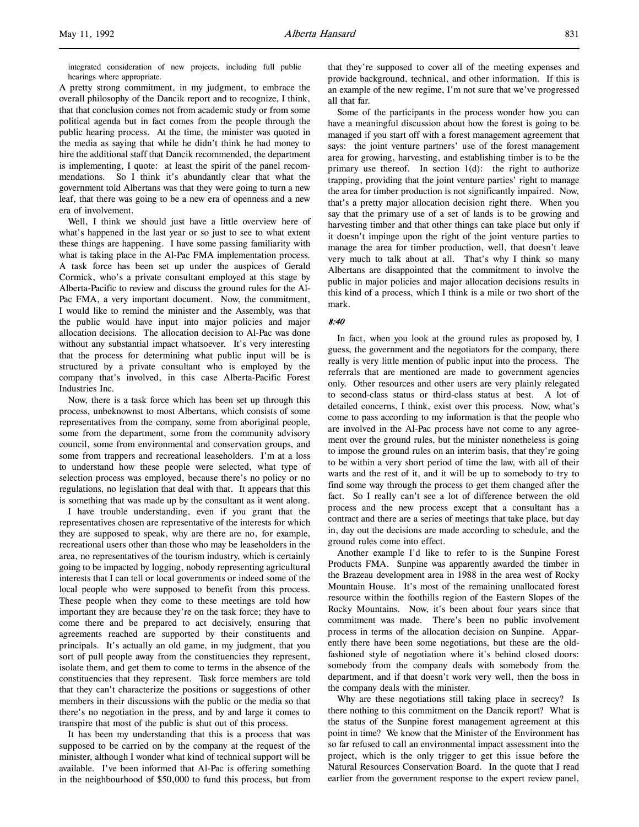integrated consideration of new projects, including full public hearings where appropriate.

A pretty strong commitment, in my judgment, to embrace the overall philosophy of the Dancik report and to recognize, I think, that that conclusion comes not from academic study or from some political agenda but in fact comes from the people through the public hearing process. At the time, the minister was quoted in the media as saying that while he didn't think he had money to hire the additional staff that Dancik recommended, the department is implementing, I quote: at least the spirit of the panel recommendations. So I think it's abundantly clear that what the government told Albertans was that they were going to turn a new leaf, that there was going to be a new era of openness and a new era of involvement.

Well, I think we should just have a little overview here of what's happened in the last year or so just to see to what extent these things are happening. I have some passing familiarity with what is taking place in the Al-Pac FMA implementation process. A task force has been set up under the auspices of Gerald Cormick, who's a private consultant employed at this stage by Alberta-Pacific to review and discuss the ground rules for the Al-Pac FMA, a very important document. Now, the commitment, I would like to remind the minister and the Assembly, was that the public would have input into major policies and major allocation decisions. The allocation decision to Al-Pac was done without any substantial impact whatsoever. It's very interesting that the process for determining what public input will be is structured by a private consultant who is employed by the company that's involved, in this case Alberta-Pacific Forest Industries Inc.

Now, there is a task force which has been set up through this process, unbeknownst to most Albertans, which consists of some representatives from the company, some from aboriginal people, some from the department, some from the community advisory council, some from environmental and conservation groups, and some from trappers and recreational leaseholders. I'm at a loss to understand how these people were selected, what type of selection process was employed, because there's no policy or no regulations, no legislation that deal with that. It appears that this is something that was made up by the consultant as it went along.

I have trouble understanding, even if you grant that the representatives chosen are representative of the interests for which they are supposed to speak, why are there are no, for example, recreational users other than those who may be leaseholders in the area, no representatives of the tourism industry, which is certainly going to be impacted by logging, nobody representing agricultural interests that I can tell or local governments or indeed some of the local people who were supposed to benefit from this process. These people when they come to these meetings are told how important they are because they're on the task force; they have to come there and be prepared to act decisively, ensuring that agreements reached are supported by their constituents and principals. It's actually an old game, in my judgment, that you sort of pull people away from the constituencies they represent, isolate them, and get them to come to terms in the absence of the constituencies that they represent. Task force members are told that they can't characterize the positions or suggestions of other members in their discussions with the public or the media so that there's no negotiation in the press, and by and large it comes to transpire that most of the public is shut out of this process.

It has been my understanding that this is a process that was supposed to be carried on by the company at the request of the minister, although I wonder what kind of technical support will be available. I've been informed that Al-Pac is offering something in the neighbourhood of \$50,000 to fund this process, but from

that they're supposed to cover all of the meeting expenses and provide background, technical, and other information. If this is an example of the new regime, I'm not sure that we've progressed all that far.

Some of the participants in the process wonder how you can have a meaningful discussion about how the forest is going to be managed if you start off with a forest management agreement that says: the joint venture partners' use of the forest management area for growing, harvesting, and establishing timber is to be the primary use thereof. In section  $1(d)$ : the right to authorize trapping, providing that the joint venture parties' right to manage the area for timber production is not significantly impaired. Now, that's a pretty major allocation decision right there. When you say that the primary use of a set of lands is to be growing and harvesting timber and that other things can take place but only if it doesn't impinge upon the right of the joint venture parties to manage the area for timber production, well, that doesn't leave very much to talk about at all. That's why I think so many Albertans are disappointed that the commitment to involve the public in major policies and major allocation decisions results in this kind of a process, which I think is a mile or two short of the mark.

### 8:40

In fact, when you look at the ground rules as proposed by, I guess, the government and the negotiators for the company, there really is very little mention of public input into the process. The referrals that are mentioned are made to government agencies only. Other resources and other users are very plainly relegated to second-class status or third-class status at best. A lot of detailed concerns, I think, exist over this process. Now, what's come to pass according to my information is that the people who are involved in the Al-Pac process have not come to any agreement over the ground rules, but the minister nonetheless is going to impose the ground rules on an interim basis, that they're going to be within a very short period of time the law, with all of their warts and the rest of it, and it will be up to somebody to try to find some way through the process to get them changed after the fact. So I really can't see a lot of difference between the old process and the new process except that a consultant has a contract and there are a series of meetings that take place, but day in, day out the decisions are made according to schedule, and the ground rules come into effect.

Another example I'd like to refer to is the Sunpine Forest Products FMA. Sunpine was apparently awarded the timber in the Brazeau development area in 1988 in the area west of Rocky Mountain House. It's most of the remaining unallocated forest resource within the foothills region of the Eastern Slopes of the Rocky Mountains. Now, it's been about four years since that commitment was made. There's been no public involvement process in terms of the allocation decision on Sunpine. Apparently there have been some negotiations, but these are the oldfashioned style of negotiation where it's behind closed doors: somebody from the company deals with somebody from the department, and if that doesn't work very well, then the boss in the company deals with the minister.

Why are these negotiations still taking place in secrecy? Is there nothing to this commitment on the Dancik report? What is the status of the Sunpine forest management agreement at this point in time? We know that the Minister of the Environment has so far refused to call an environmental impact assessment into the project, which is the only trigger to get this issue before the Natural Resources Conservation Board. In the quote that I read earlier from the government response to the expert review panel,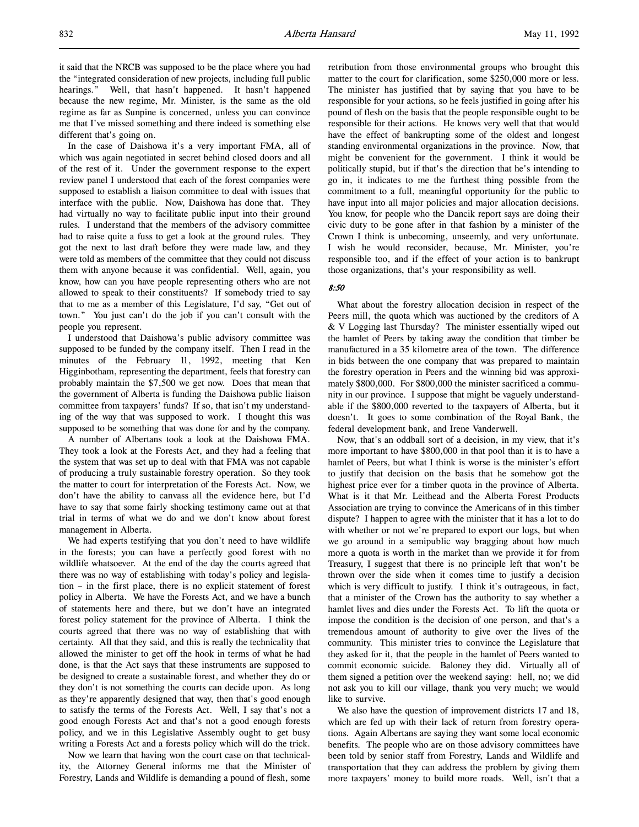it said that the NRCB was supposed to be the place where you had the "integrated consideration of new projects, including full public hearings." Well, that hasn't happened. It hasn't happened because the new regime, Mr. Minister, is the same as the old regime as far as Sunpine is concerned, unless you can convince me that I've missed something and there indeed is something else different that's going on.

In the case of Daishowa it's a very important FMA, all of which was again negotiated in secret behind closed doors and all of the rest of it. Under the government response to the expert review panel I understood that each of the forest companies were supposed to establish a liaison committee to deal with issues that interface with the public. Now, Daishowa has done that. They had virtually no way to facilitate public input into their ground rules. I understand that the members of the advisory committee had to raise quite a fuss to get a look at the ground rules. They got the next to last draft before they were made law, and they were told as members of the committee that they could not discuss them with anyone because it was confidential. Well, again, you know, how can you have people representing others who are not allowed to speak to their constituents? If somebody tried to say that to me as a member of this Legislature, I'd say, "Get out of town." You just can't do the job if you can't consult with the people you represent.

I understood that Daishowa's public advisory committee was supposed to be funded by the company itself. Then I read in the minutes of the February 11, 1992, meeting that Ken Higginbotham, representing the department, feels that forestry can probably maintain the \$7,500 we get now. Does that mean that the government of Alberta is funding the Daishowa public liaison committee from taxpayers' funds? If so, that isn't my understanding of the way that was supposed to work. I thought this was supposed to be something that was done for and by the company.

A number of Albertans took a look at the Daishowa FMA. They took a look at the Forests Act, and they had a feeling that the system that was set up to deal with that FMA was not capable of producing a truly sustainable forestry operation. So they took the matter to court for interpretation of the Forests Act. Now, we don't have the ability to canvass all the evidence here, but I'd have to say that some fairly shocking testimony came out at that trial in terms of what we do and we don't know about forest management in Alberta.

We had experts testifying that you don't need to have wildlife in the forests; you can have a perfectly good forest with no wildlife whatsoever. At the end of the day the courts agreed that there was no way of establishing with today's policy and legislation – in the first place, there is no explicit statement of forest policy in Alberta. We have the Forests Act, and we have a bunch of statements here and there, but we don't have an integrated forest policy statement for the province of Alberta. I think the courts agreed that there was no way of establishing that with certainty. All that they said, and this is really the technicality that allowed the minister to get off the hook in terms of what he had done, is that the Act says that these instruments are supposed to be designed to create a sustainable forest, and whether they do or they don't is not something the courts can decide upon. As long as they're apparently designed that way, then that's good enough to satisfy the terms of the Forests Act. Well, I say that's not a good enough Forests Act and that's not a good enough forests policy, and we in this Legislative Assembly ought to get busy writing a Forests Act and a forests policy which will do the trick.

Now we learn that having won the court case on that technicality, the Attorney General informs me that the Minister of Forestry, Lands and Wildlife is demanding a pound of flesh, some

retribution from those environmental groups who brought this matter to the court for clarification, some \$250,000 more or less. The minister has justified that by saying that you have to be responsible for your actions, so he feels justified in going after his pound of flesh on the basis that the people responsible ought to be responsible for their actions. He knows very well that that would have the effect of bankrupting some of the oldest and longest standing environmental organizations in the province. Now, that might be convenient for the government. I think it would be politically stupid, but if that's the direction that he's intending to go in, it indicates to me the furthest thing possible from the commitment to a full, meaningful opportunity for the public to have input into all major policies and major allocation decisions. You know, for people who the Dancik report says are doing their civic duty to be gone after in that fashion by a minister of the Crown I think is unbecoming, unseemly, and very unfortunate. I wish he would reconsider, because, Mr. Minister, you're responsible too, and if the effect of your action is to bankrupt those organizations, that's your responsibility as well.

### 8:50

What about the forestry allocation decision in respect of the Peers mill, the quota which was auctioned by the creditors of A & V Logging last Thursday? The minister essentially wiped out the hamlet of Peers by taking away the condition that timber be manufactured in a 35 kilometre area of the town. The difference in bids between the one company that was prepared to maintain the forestry operation in Peers and the winning bid was approximately \$800,000. For \$800,000 the minister sacrificed a community in our province. I suppose that might be vaguely understandable if the \$800,000 reverted to the taxpayers of Alberta, but it doesn't. It goes to some combination of the Royal Bank, the federal development bank, and Irene Vanderwell.

Now, that's an oddball sort of a decision, in my view, that it's more important to have \$800,000 in that pool than it is to have a hamlet of Peers, but what I think is worse is the minister's effort to justify that decision on the basis that he somehow got the highest price ever for a timber quota in the province of Alberta. What is it that Mr. Leithead and the Alberta Forest Products Association are trying to convince the Americans of in this timber dispute? I happen to agree with the minister that it has a lot to do with whether or not we're prepared to export our logs, but when we go around in a semipublic way bragging about how much more a quota is worth in the market than we provide it for from Treasury, I suggest that there is no principle left that won't be thrown over the side when it comes time to justify a decision which is very difficult to justify. I think it's outrageous, in fact, that a minister of the Crown has the authority to say whether a hamlet lives and dies under the Forests Act. To lift the quota or impose the condition is the decision of one person, and that's a tremendous amount of authority to give over the lives of the community. This minister tries to convince the Legislature that they asked for it, that the people in the hamlet of Peers wanted to commit economic suicide. Baloney they did. Virtually all of them signed a petition over the weekend saying: hell, no; we did not ask you to kill our village, thank you very much; we would like to survive.

We also have the question of improvement districts 17 and 18, which are fed up with their lack of return from forestry operations. Again Albertans are saying they want some local economic benefits. The people who are on those advisory committees have been told by senior staff from Forestry, Lands and Wildlife and transportation that they can address the problem by giving them more taxpayers' money to build more roads. Well, isn't that a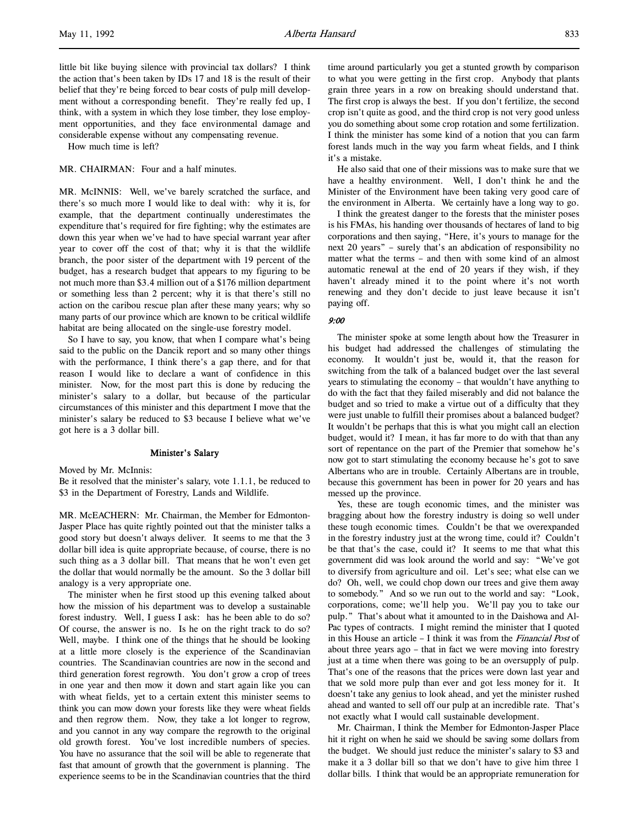little bit like buying silence with provincial tax dollars? I think the action that's been taken by IDs 17 and 18 is the result of their belief that they're being forced to bear costs of pulp mill development without a corresponding benefit. They're really fed up, I think, with a system in which they lose timber, they lose employment opportunities, and they face environmental damage and considerable expense without any compensating revenue.

How much time is left?

# MR. CHAIRMAN: Four and a half minutes.

MR. McINNIS: Well, we've barely scratched the surface, and there's so much more I would like to deal with: why it is, for example, that the department continually underestimates the expenditure that's required for fire fighting; why the estimates are down this year when we've had to have special warrant year after year to cover off the cost of that; why it is that the wildlife branch, the poor sister of the department with 19 percent of the budget, has a research budget that appears to my figuring to be not much more than \$3.4 million out of a \$176 million department or something less than 2 percent; why it is that there's still no action on the caribou rescue plan after these many years; why so many parts of our province which are known to be critical wildlife habitat are being allocated on the single-use forestry model.

So I have to say, you know, that when I compare what's being said to the public on the Dancik report and so many other things with the performance, I think there's a gap there, and for that reason I would like to declare a want of confidence in this minister. Now, for the most part this is done by reducing the minister's salary to a dollar, but because of the particular circumstances of this minister and this department I move that the minister's salary be reduced to \$3 because I believe what we've got here is a 3 dollar bill.

## Minister's Salary

Moved by Mr. McInnis:

Be it resolved that the minister's salary, vote 1.1.1, be reduced to \$3 in the Department of Forestry, Lands and Wildlife.

MR. McEACHERN: Mr. Chairman, the Member for Edmonton-Jasper Place has quite rightly pointed out that the minister talks a good story but doesn't always deliver. It seems to me that the 3 dollar bill idea is quite appropriate because, of course, there is no such thing as a 3 dollar bill. That means that he won't even get the dollar that would normally be the amount. So the 3 dollar bill analogy is a very appropriate one.

The minister when he first stood up this evening talked about how the mission of his department was to develop a sustainable forest industry. Well, I guess I ask: has he been able to do so? Of course, the answer is no. Is he on the right track to do so? Well, maybe. I think one of the things that he should be looking at a little more closely is the experience of the Scandinavian countries. The Scandinavian countries are now in the second and third generation forest regrowth. You don't grow a crop of trees in one year and then mow it down and start again like you can with wheat fields, yet to a certain extent this minister seems to think you can mow down your forests like they were wheat fields and then regrow them. Now, they take a lot longer to regrow, and you cannot in any way compare the regrowth to the original old growth forest. You've lost incredible numbers of species. You have no assurance that the soil will be able to regenerate that fast that amount of growth that the government is planning. The experience seems to be in the Scandinavian countries that the third

time around particularly you get a stunted growth by comparison to what you were getting in the first crop. Anybody that plants grain three years in a row on breaking should understand that. The first crop is always the best. If you don't fertilize, the second crop isn't quite as good, and the third crop is not very good unless you do something about some crop rotation and some fertilization. I think the minister has some kind of a notion that you can farm forest lands much in the way you farm wheat fields, and I think it's a mistake.

He also said that one of their missions was to make sure that we have a healthy environment. Well, I don't think he and the Minister of the Environment have been taking very good care of the environment in Alberta. We certainly have a long way to go.

I think the greatest danger to the forests that the minister poses is his FMAs, his handing over thousands of hectares of land to big corporations and then saying, "Here, it's yours to manage for the next 20 years" – surely that's an abdication of responsibility no matter what the terms – and then with some kind of an almost automatic renewal at the end of 20 years if they wish, if they haven't already mined it to the point where it's not worth renewing and they don't decide to just leave because it isn't paying off.

### 9:00

The minister spoke at some length about how the Treasurer in his budget had addressed the challenges of stimulating the economy. It wouldn't just be, would it, that the reason for switching from the talk of a balanced budget over the last several years to stimulating the economy – that wouldn't have anything to do with the fact that they failed miserably and did not balance the budget and so tried to make a virtue out of a difficulty that they were just unable to fulfill their promises about a balanced budget? It wouldn't be perhaps that this is what you might call an election budget, would it? I mean, it has far more to do with that than any sort of repentance on the part of the Premier that somehow he's now got to start stimulating the economy because he's got to save Albertans who are in trouble. Certainly Albertans are in trouble, because this government has been in power for 20 years and has messed up the province.

Yes, these are tough economic times, and the minister was bragging about how the forestry industry is doing so well under these tough economic times. Couldn't be that we overexpanded in the forestry industry just at the wrong time, could it? Couldn't be that that's the case, could it? It seems to me that what this government did was look around the world and say: "We've got to diversify from agriculture and oil. Let's see; what else can we do? Oh, well, we could chop down our trees and give them away to somebody." And so we run out to the world and say: "Look, corporations, come; we'll help you. We'll pay you to take our pulp." That's about what it amounted to in the Daishowa and Al-Pac types of contracts. I might remind the minister that I quoted in this House an article – I think it was from the Financial Post of about three years ago – that in fact we were moving into forestry just at a time when there was going to be an oversupply of pulp. That's one of the reasons that the prices were down last year and that we sold more pulp than ever and got less money for it. It doesn't take any genius to look ahead, and yet the minister rushed ahead and wanted to sell off our pulp at an incredible rate. That's not exactly what I would call sustainable development.

Mr. Chairman, I think the Member for Edmonton-Jasper Place hit it right on when he said we should be saving some dollars from the budget. We should just reduce the minister's salary to \$3 and make it a 3 dollar bill so that we don't have to give him three 1 dollar bills. I think that would be an appropriate remuneration for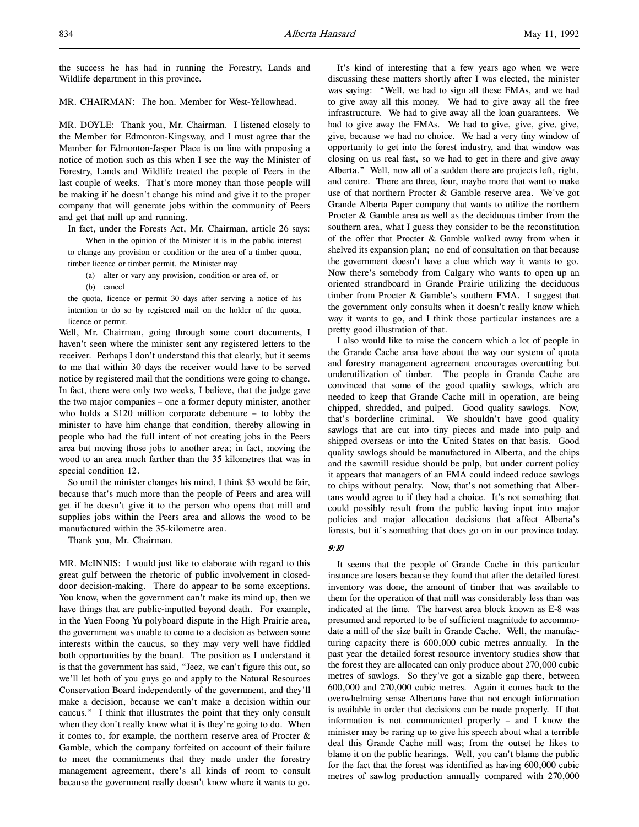the success he has had in running the Forestry, Lands and Wildlife department in this province.

# MR. CHAIRMAN: The hon. Member for West-Yellowhead.

MR. DOYLE: Thank you, Mr. Chairman. I listened closely to the Member for Edmonton-Kingsway, and I must agree that the Member for Edmonton-Jasper Place is on line with proposing a notice of motion such as this when I see the way the Minister of Forestry, Lands and Wildlife treated the people of Peers in the last couple of weeks. That's more money than those people will be making if he doesn't change his mind and give it to the proper company that will generate jobs within the community of Peers and get that mill up and running.

In fact, under the Forests Act, Mr. Chairman, article 26 says:

When in the opinion of the Minister it is in the public interest to change any provision or condition or the area of a timber quota, timber licence or timber permit, the Minister may

- (a) alter or vary any provision, condition or area of, or
- (b) cancel

the quota, licence or permit 30 days after serving a notice of his intention to do so by registered mail on the holder of the quota, licence or permit.

Well, Mr. Chairman, going through some court documents, I haven't seen where the minister sent any registered letters to the receiver. Perhaps I don't understand this that clearly, but it seems to me that within 30 days the receiver would have to be served notice by registered mail that the conditions were going to change. In fact, there were only two weeks, I believe, that the judge gave the two major companies – one a former deputy minister, another who holds a \$120 million corporate debenture – to lobby the minister to have him change that condition, thereby allowing in people who had the full intent of not creating jobs in the Peers area but moving those jobs to another area; in fact, moving the wood to an area much farther than the 35 kilometres that was in special condition 12.

So until the minister changes his mind, I think \$3 would be fair, because that's much more than the people of Peers and area will get if he doesn't give it to the person who opens that mill and supplies jobs within the Peers area and allows the wood to be manufactured within the 35-kilometre area.

Thank you, Mr. Chairman.

MR. McINNIS: I would just like to elaborate with regard to this great gulf between the rhetoric of public involvement in closeddoor decision-making. There do appear to be some exceptions. You know, when the government can't make its mind up, then we have things that are public-inputted beyond death. For example, in the Yuen Foong Yu polyboard dispute in the High Prairie area, the government was unable to come to a decision as between some interests within the caucus, so they may very well have fiddled both opportunities by the board. The position as I understand it is that the government has said, "Jeez, we can't figure this out, so we'll let both of you guys go and apply to the Natural Resources Conservation Board independently of the government, and they'll make a decision, because we can't make a decision within our caucus." I think that illustrates the point that they only consult when they don't really know what it is they're going to do. When it comes to, for example, the northern reserve area of Procter & Gamble, which the company forfeited on account of their failure to meet the commitments that they made under the forestry management agreement, there's all kinds of room to consult because the government really doesn't know where it wants to go.

It's kind of interesting that a few years ago when we were discussing these matters shortly after I was elected, the minister was saying: "Well, we had to sign all these FMAs, and we had to give away all this money. We had to give away all the free infrastructure. We had to give away all the loan guarantees. We had to give away the FMAs. We had to give, give, give, give, give, because we had no choice. We had a very tiny window of opportunity to get into the forest industry, and that window was closing on us real fast, so we had to get in there and give away Alberta." Well, now all of a sudden there are projects left, right, and centre. There are three, four, maybe more that want to make use of that northern Procter & Gamble reserve area. We've got Grande Alberta Paper company that wants to utilize the northern Procter & Gamble area as well as the deciduous timber from the southern area, what I guess they consider to be the reconstitution of the offer that Procter & Gamble walked away from when it shelved its expansion plan; no end of consultation on that because the government doesn't have a clue which way it wants to go. Now there's somebody from Calgary who wants to open up an oriented strandboard in Grande Prairie utilizing the deciduous timber from Procter & Gamble's southern FMA. I suggest that the government only consults when it doesn't really know which way it wants to go, and I think those particular instances are a pretty good illustration of that.

I also would like to raise the concern which a lot of people in the Grande Cache area have about the way our system of quota and forestry management agreement encourages overcutting but underutilization of timber. The people in Grande Cache are convinced that some of the good quality sawlogs, which are needed to keep that Grande Cache mill in operation, are being chipped, shredded, and pulped. Good quality sawlogs. Now, that's borderline criminal. We shouldn't have good quality sawlogs that are cut into tiny pieces and made into pulp and shipped overseas or into the United States on that basis. Good quality sawlogs should be manufactured in Alberta, and the chips and the sawmill residue should be pulp, but under current policy it appears that managers of an FMA could indeed reduce sawlogs to chips without penalty. Now, that's not something that Albertans would agree to if they had a choice. It's not something that could possibly result from the public having input into major policies and major allocation decisions that affect Alberta's forests, but it's something that does go on in our province today.

### 9:10

It seems that the people of Grande Cache in this particular instance are losers because they found that after the detailed forest inventory was done, the amount of timber that was available to them for the operation of that mill was considerably less than was indicated at the time. The harvest area block known as E-8 was presumed and reported to be of sufficient magnitude to accommodate a mill of the size built in Grande Cache. Well, the manufacturing capacity there is 600,000 cubic metres annually. In the past year the detailed forest resource inventory studies show that the forest they are allocated can only produce about 270,000 cubic metres of sawlogs. So they've got a sizable gap there, between 600,000 and 270,000 cubic metres. Again it comes back to the overwhelming sense Albertans have that not enough information is available in order that decisions can be made properly. If that information is not communicated properly – and I know the minister may be raring up to give his speech about what a terrible deal this Grande Cache mill was; from the outset he likes to blame it on the public hearings. Well, you can't blame the public for the fact that the forest was identified as having 600,000 cubic metres of sawlog production annually compared with 270,000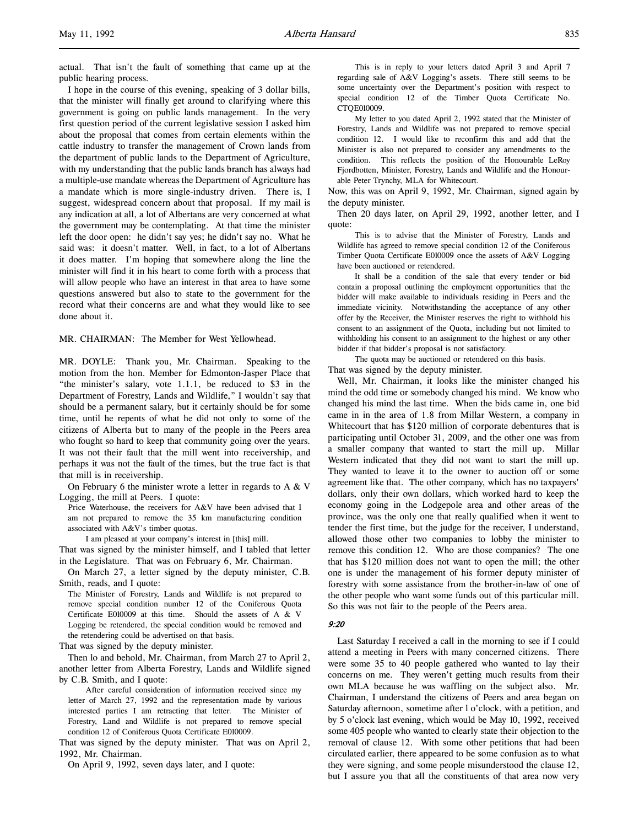actual. That isn't the fault of something that came up at the public hearing process.

I hope in the course of this evening, speaking of 3 dollar bills, that the minister will finally get around to clarifying where this government is going on public lands management. In the very first question period of the current legislative session I asked him about the proposal that comes from certain elements within the cattle industry to transfer the management of Crown lands from the department of public lands to the Department of Agriculture, with my understanding that the public lands branch has always had a multiple-use mandate whereas the Department of Agriculture has a mandate which is more single-industry driven. There is, I suggest, widespread concern about that proposal. If my mail is any indication at all, a lot of Albertans are very concerned at what the government may be contemplating. At that time the minister left the door open: he didn't say yes; he didn't say no. What he said was: it doesn't matter. Well, in fact, to a lot of Albertans it does matter. I'm hoping that somewhere along the line the minister will find it in his heart to come forth with a process that will allow people who have an interest in that area to have some questions answered but also to state to the government for the record what their concerns are and what they would like to see done about it.

MR. CHAIRMAN: The Member for West Yellowhead.

MR. DOYLE: Thank you, Mr. Chairman. Speaking to the motion from the hon. Member for Edmonton-Jasper Place that "the minister's salary, vote 1.1.1, be reduced to \$3 in the Department of Forestry, Lands and Wildlife," I wouldn't say that should be a permanent salary, but it certainly should be for some time, until he repents of what he did not only to some of the citizens of Alberta but to many of the people in the Peers area who fought so hard to keep that community going over the years. It was not their fault that the mill went into receivership, and perhaps it was not the fault of the times, but the true fact is that that mill is in receivership.

On February 6 the minister wrote a letter in regards to A & V Logging, the mill at Peers. I quote:

Price Waterhouse, the receivers for A&V have been advised that I am not prepared to remove the 35 km manufacturing condition associated with A&V's timber quotas.

I am pleased at your company's interest in [this] mill.

That was signed by the minister himself, and I tabled that letter in the Legislature. That was on February 6, Mr. Chairman.

On March 27, a letter signed by the deputy minister, C.B. Smith, reads, and I quote:

The Minister of Forestry, Lands and Wildlife is not prepared to remove special condition number 12 of the Coniferous Quota Certificate E010009 at this time. Should the assets of A & V Logging be retendered, the special condition would be removed and the retendering could be advertised on that basis.

That was signed by the deputy minister.

Then lo and behold, Mr. Chairman, from March 27 to April 2, another letter from Alberta Forestry, Lands and Wildlife signed by C.B. Smith, and I quote:

After careful consideration of information received since my letter of March 27, 1992 and the representation made by various interested parties I am retracting that letter. The Minister of Forestry, Land and Wildlife is not prepared to remove special condition 12 of Coniferous Quota Certificate E010009.

That was signed by the deputy minister. That was on April 2, 1992, Mr. Chairman.

On April 9, 1992, seven days later, and I quote:

This is in reply to your letters dated April 3 and April 7 regarding sale of A&V Logging's assets. There still seems to be some uncertainty over the Department's position with respect to special condition 12 of the Timber Quota Certificate No. CTQE010009.

My letter to you dated April 2, 1992 stated that the Minister of Forestry, Lands and Wildlife was not prepared to remove special condition 12. I would like to reconfirm this and add that the Minister is also not prepared to consider any amendments to the condition. This reflects the position of the Honourable LeRoy Fjordbotten, Minister, Forestry, Lands and Wildlife and the Honourable Peter Trynchy, MLA for Whitecourt.

Now, this was on April 9, 1992, Mr. Chairman, signed again by the deputy minister.

Then 20 days later, on April 29, 1992, another letter, and I quote:

This is to advise that the Minister of Forestry, Lands and Wildlife has agreed to remove special condition 12 of the Coniferous Timber Quota Certificate E010009 once the assets of A&V Logging have been auctioned or retendered.

It shall be a condition of the sale that every tender or bid contain a proposal outlining the employment opportunities that the bidder will make available to individuals residing in Peers and the immediate vicinity. Notwithstanding the acceptance of any other offer by the Receiver, the Minister reserves the right to withhold his consent to an assignment of the Quota, including but not limited to withholding his consent to an assignment to the highest or any other bidder if that bidder's proposal is not satisfactory.

The quota may be auctioned or retendered on this basis. That was signed by the deputy minister.

Well, Mr. Chairman, it looks like the minister changed his mind the odd time or somebody changed his mind. We know who changed his mind the last time. When the bids came in, one bid came in in the area of 1.8 from Millar Western, a company in Whitecourt that has \$120 million of corporate debentures that is participating until October 31, 2009, and the other one was from a smaller company that wanted to start the mill up. Millar Western indicated that they did not want to start the mill up. They wanted to leave it to the owner to auction off or some agreement like that. The other company, which has no taxpayers' dollars, only their own dollars, which worked hard to keep the economy going in the Lodgepole area and other areas of the province, was the only one that really qualified when it went to tender the first time, but the judge for the receiver, I understand, allowed those other two companies to lobby the minister to remove this condition 12. Who are those companies? The one that has \$120 million does not want to open the mill; the other one is under the management of his former deputy minister of forestry with some assistance from the brother-in-law of one of the other people who want some funds out of this particular mill. So this was not fair to the people of the Peers area.

#### $9.20$

Last Saturday I received a call in the morning to see if I could attend a meeting in Peers with many concerned citizens. There were some 35 to 40 people gathered who wanted to lay their concerns on me. They weren't getting much results from their own MLA because he was waffling on the subject also. Mr. Chairman, I understand the citizens of Peers and area began on Saturday afternoon, sometime after l o'clock, with a petition, and by 5 o'clock last evening, which would be May 10, 1992, received some 405 people who wanted to clearly state their objection to the removal of clause 12. With some other petitions that had been circulated earlier, there appeared to be some confusion as to what they were signing, and some people misunderstood the clause 12, but I assure you that all the constituents of that area now very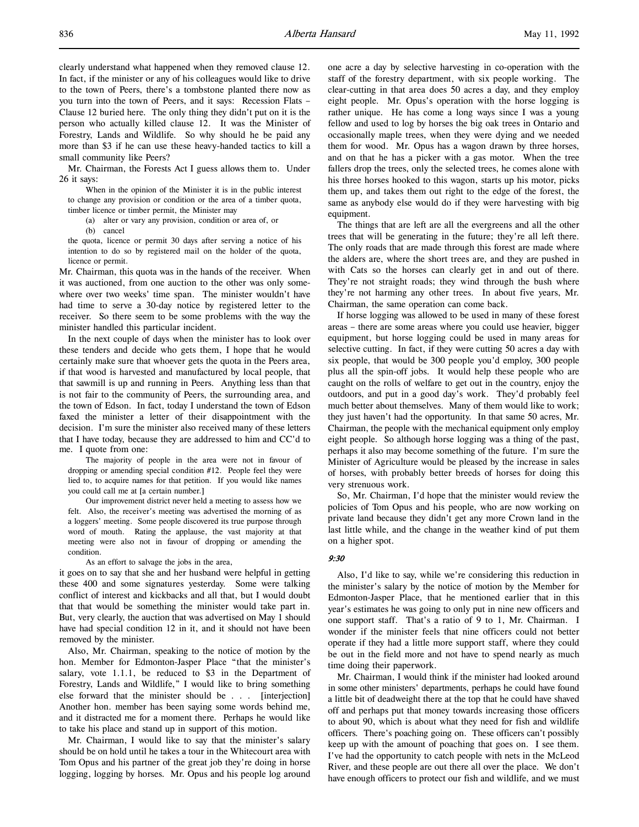clearly understand what happened when they removed clause 12. In fact, if the minister or any of his colleagues would like to drive to the town of Peers, there's a tombstone planted there now as you turn into the town of Peers, and it says: Recession Flats – Clause 12 buried here. The only thing they didn't put on it is the person who actually killed clause 12. It was the Minister of Forestry, Lands and Wildlife. So why should he be paid any more than \$3 if he can use these heavy-handed tactics to kill a small community like Peers?

Mr. Chairman, the Forests Act I guess allows them to. Under 26 it says:

When in the opinion of the Minister it is in the public interest to change any provision or condition or the area of a timber quota, timber licence or timber permit, the Minister may

(a) alter or vary any provision, condition or area of, or

(b) cancel

the quota, licence or permit 30 days after serving a notice of his intention to do so by registered mail on the holder of the quota, licence or permit.

Mr. Chairman, this quota was in the hands of the receiver. When it was auctioned, from one auction to the other was only somewhere over two weeks' time span. The minister wouldn't have had time to serve a 30-day notice by registered letter to the receiver. So there seem to be some problems with the way the minister handled this particular incident.

In the next couple of days when the minister has to look over these tenders and decide who gets them, I hope that he would certainly make sure that whoever gets the quota in the Peers area, if that wood is harvested and manufactured by local people, that that sawmill is up and running in Peers. Anything less than that is not fair to the community of Peers, the surrounding area, and the town of Edson. In fact, today I understand the town of Edson faxed the minister a letter of their disappointment with the decision. I'm sure the minister also received many of these letters that I have today, because they are addressed to him and CC'd to me. I quote from one:

The majority of people in the area were not in favour of dropping or amending special condition #12. People feel they were lied to, to acquire names for that petition. If you would like names you could call me at [a certain number.]

Our improvement district never held a meeting to assess how we felt. Also, the receiver's meeting was advertised the morning of as a loggers' meeting. Some people discovered its true purpose through word of mouth. Rating the applause, the vast majority at that meeting were also not in favour of dropping or amending the condition.

As an effort to salvage the jobs in the area,

it goes on to say that she and her husband were helpful in getting these 400 and some signatures yesterday. Some were talking conflict of interest and kickbacks and all that, but I would doubt that that would be something the minister would take part in. But, very clearly, the auction that was advertised on May 1 should have had special condition 12 in it, and it should not have been removed by the minister.

Also, Mr. Chairman, speaking to the notice of motion by the hon. Member for Edmonton-Jasper Place "that the minister's salary, vote 1.1.1, be reduced to \$3 in the Department of Forestry, Lands and Wildlife," I would like to bring something else forward that the minister should be . . . [interjection] Another hon. member has been saying some words behind me, and it distracted me for a moment there. Perhaps he would like to take his place and stand up in support of this motion.

Mr. Chairman, I would like to say that the minister's salary should be on hold until he takes a tour in the Whitecourt area with Tom Opus and his partner of the great job they're doing in horse logging, logging by horses. Mr. Opus and his people log around

one acre a day by selective harvesting in co-operation with the staff of the forestry department, with six people working. The clear-cutting in that area does 50 acres a day, and they employ eight people. Mr. Opus's operation with the horse logging is rather unique. He has come a long ways since I was a young fellow and used to log by horses the big oak trees in Ontario and occasionally maple trees, when they were dying and we needed them for wood. Mr. Opus has a wagon drawn by three horses, and on that he has a picker with a gas motor. When the tree fallers drop the trees, only the selected trees, he comes alone with his three horses hooked to this wagon, starts up his motor, picks them up, and takes them out right to the edge of the forest, the same as anybody else would do if they were harvesting with big equipment.

The things that are left are all the evergreens and all the other trees that will be generating in the future; they're all left there. The only roads that are made through this forest are made where the alders are, where the short trees are, and they are pushed in with Cats so the horses can clearly get in and out of there. They're not straight roads; they wind through the bush where they're not harming any other trees. In about five years, Mr. Chairman, the same operation can come back.

If horse logging was allowed to be used in many of these forest areas – there are some areas where you could use heavier, bigger equipment, but horse logging could be used in many areas for selective cutting. In fact, if they were cutting 50 acres a day with six people, that would be 300 people you'd employ, 300 people plus all the spin-off jobs. It would help these people who are caught on the rolls of welfare to get out in the country, enjoy the outdoors, and put in a good day's work. They'd probably feel much better about themselves. Many of them would like to work; they just haven't had the opportunity. In that same 50 acres, Mr. Chairman, the people with the mechanical equipment only employ eight people. So although horse logging was a thing of the past, perhaps it also may become something of the future. I'm sure the Minister of Agriculture would be pleased by the increase in sales of horses, with probably better breeds of horses for doing this very strenuous work.

So, Mr. Chairman, I'd hope that the minister would review the policies of Tom Opus and his people, who are now working on private land because they didn't get any more Crown land in the last little while, and the change in the weather kind of put them on a higher spot.

### 9:30

Also, I'd like to say, while we're considering this reduction in the minister's salary by the notice of motion by the Member for Edmonton-Jasper Place, that he mentioned earlier that in this year's estimates he was going to only put in nine new officers and one support staff. That's a ratio of 9 to 1, Mr. Chairman. I wonder if the minister feels that nine officers could not better operate if they had a little more support staff, where they could be out in the field more and not have to spend nearly as much time doing their paperwork.

Mr. Chairman, I would think if the minister had looked around in some other ministers' departments, perhaps he could have found a little bit of deadweight there at the top that he could have shaved off and perhaps put that money towards increasing those officers to about 90, which is about what they need for fish and wildlife officers. There's poaching going on. These officers can't possibly keep up with the amount of poaching that goes on. I see them. I've had the opportunity to catch people with nets in the McLeod River, and these people are out there all over the place. We don't have enough officers to protect our fish and wildlife, and we must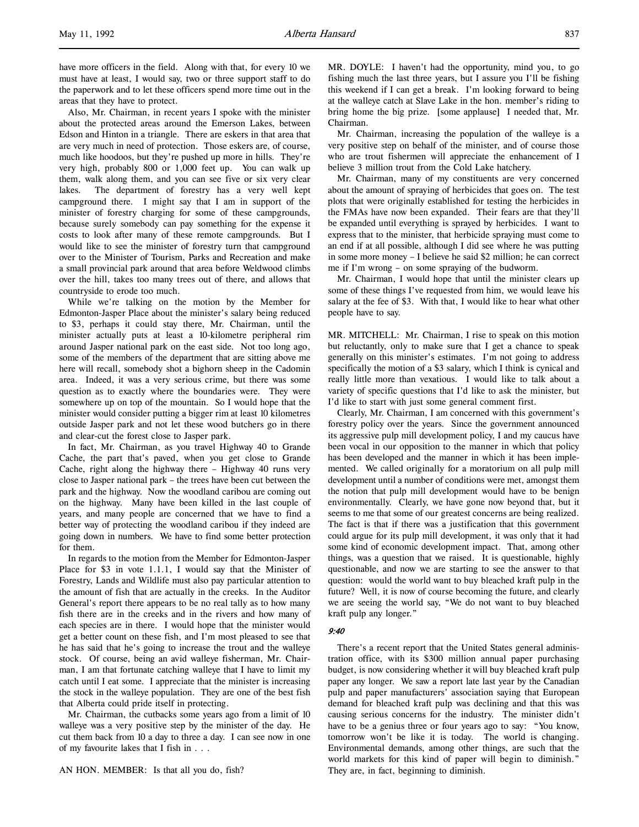have more officers in the field. Along with that, for every 10 we must have at least, I would say, two or three support staff to do the paperwork and to let these officers spend more time out in the areas that they have to protect.

Also, Mr. Chairman, in recent years I spoke with the minister about the protected areas around the Emerson Lakes, between Edson and Hinton in a triangle. There are eskers in that area that are very much in need of protection. Those eskers are, of course, much like hoodoos, but they're pushed up more in hills. They're very high, probably 800 or 1,000 feet up. You can walk up them, walk along them, and you can see five or six very clear lakes. The department of forestry has a very well kept campground there. I might say that I am in support of the minister of forestry charging for some of these campgrounds, because surely somebody can pay something for the expense it costs to look after many of these remote campgrounds. But I would like to see the minister of forestry turn that campground over to the Minister of Tourism, Parks and Recreation and make a small provincial park around that area before Weldwood climbs over the hill, takes too many trees out of there, and allows that countryside to erode too much.

While we're talking on the motion by the Member for Edmonton-Jasper Place about the minister's salary being reduced to \$3, perhaps it could stay there, Mr. Chairman, until the minister actually puts at least a 10-kilometre peripheral rim around Jasper national park on the east side. Not too long ago, some of the members of the department that are sitting above me here will recall, somebody shot a bighorn sheep in the Cadomin area. Indeed, it was a very serious crime, but there was some question as to exactly where the boundaries were. They were somewhere up on top of the mountain. So I would hope that the minister would consider putting a bigger rim at least 10 kilometres outside Jasper park and not let these wood butchers go in there and clear-cut the forest close to Jasper park.

In fact, Mr. Chairman, as you travel Highway 40 to Grande Cache, the part that's paved, when you get close to Grande Cache, right along the highway there – Highway 40 runs very close to Jasper national park – the trees have been cut between the park and the highway. Now the woodland caribou are coming out on the highway. Many have been killed in the last couple of years, and many people are concerned that we have to find a better way of protecting the woodland caribou if they indeed are going down in numbers. We have to find some better protection for them.

In regards to the motion from the Member for Edmonton-Jasper Place for \$3 in vote 1.1.1, I would say that the Minister of Forestry, Lands and Wildlife must also pay particular attention to the amount of fish that are actually in the creeks. In the Auditor General's report there appears to be no real tally as to how many fish there are in the creeks and in the rivers and how many of each species are in there. I would hope that the minister would get a better count on these fish, and I'm most pleased to see that he has said that he's going to increase the trout and the walleye stock. Of course, being an avid walleye fisherman, Mr. Chairman, I am that fortunate catching walleye that I have to limit my catch until I eat some. I appreciate that the minister is increasing the stock in the walleye population. They are one of the best fish that Alberta could pride itself in protecting.

Mr. Chairman, the cutbacks some years ago from a limit of 10 walleye was a very positive step by the minister of the day. He cut them back from 10 a day to three a day. I can see now in one of my favourite lakes that I fish in . . .

MR. DOYLE: I haven't had the opportunity, mind you, to go fishing much the last three years, but I assure you I'll be fishing this weekend if I can get a break. I'm looking forward to being at the walleye catch at Slave Lake in the hon. member's riding to bring home the big prize. [some applause] I needed that, Mr. Chairman.

Mr. Chairman, increasing the population of the walleye is a very positive step on behalf of the minister, and of course those who are trout fishermen will appreciate the enhancement of I believe 3 million trout from the Cold Lake hatchery.

Mr. Chairman, many of my constituents are very concerned about the amount of spraying of herbicides that goes on. The test plots that were originally established for testing the herbicides in the FMAs have now been expanded. Their fears are that they'll be expanded until everything is sprayed by herbicides. I want to express that to the minister, that herbicide spraying must come to an end if at all possible, although I did see where he was putting in some more money – I believe he said \$2 million; he can correct me if I'm wrong – on some spraying of the budworm.

Mr. Chairman, I would hope that until the minister clears up some of these things I've requested from him, we would leave his salary at the fee of \$3. With that, I would like to hear what other people have to say.

MR. MITCHELL: Mr. Chairman, I rise to speak on this motion but reluctantly, only to make sure that I get a chance to speak generally on this minister's estimates. I'm not going to address specifically the motion of a \$3 salary, which I think is cynical and really little more than vexatious. I would like to talk about a variety of specific questions that I'd like to ask the minister, but I'd like to start with just some general comment first.

Clearly, Mr. Chairman, I am concerned with this government's forestry policy over the years. Since the government announced its aggressive pulp mill development policy, I and my caucus have been vocal in our opposition to the manner in which that policy has been developed and the manner in which it has been implemented. We called originally for a moratorium on all pulp mill development until a number of conditions were met, amongst them the notion that pulp mill development would have to be benign environmentally. Clearly, we have gone now beyond that, but it seems to me that some of our greatest concerns are being realized. The fact is that if there was a justification that this government could argue for its pulp mill development, it was only that it had some kind of economic development impact. That, among other things, was a question that we raised. It is questionable, highly questionable, and now we are starting to see the answer to that question: would the world want to buy bleached kraft pulp in the future? Well, it is now of course becoming the future, and clearly we are seeing the world say, "We do not want to buy bleached kraft pulp any longer."

#### 9:40

There's a recent report that the United States general administration office, with its \$300 million annual paper purchasing budget, is now considering whether it will buy bleached kraft pulp paper any longer. We saw a report late last year by the Canadian pulp and paper manufacturers' association saying that European demand for bleached kraft pulp was declining and that this was causing serious concerns for the industry. The minister didn't have to be a genius three or four years ago to say: "You know, tomorrow won't be like it is today. The world is changing. Environmental demands, among other things, are such that the world markets for this kind of paper will begin to diminish." They are, in fact, beginning to diminish.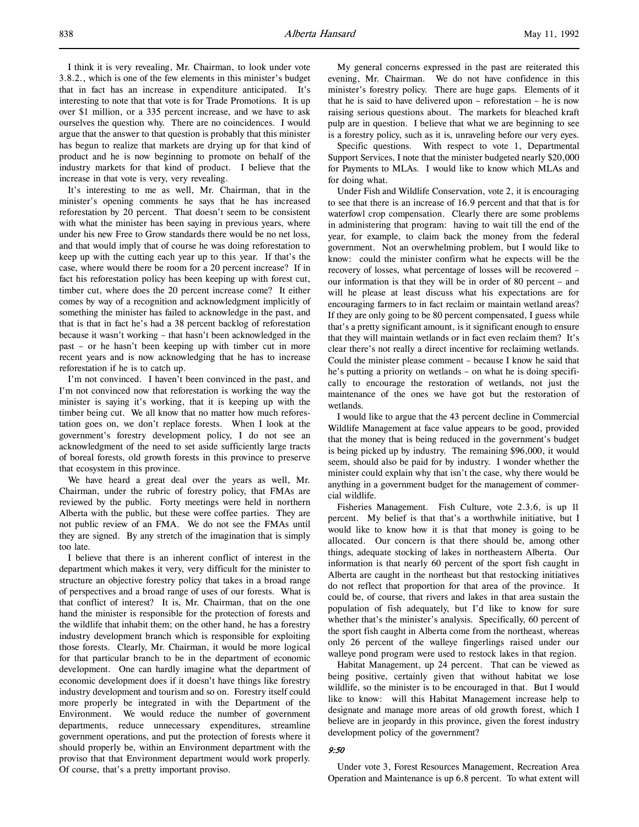I think it is very revealing, Mr. Chairman, to look under vote 3.8.2., which is one of the few elements in this minister's budget that in fact has an increase in expenditure anticipated. It's interesting to note that that vote is for Trade Promotions. It is up over \$1 million, or a 335 percent increase, and we have to ask ourselves the question why. There are no coincidences. I would argue that the answer to that question is probably that this minister has begun to realize that markets are drying up for that kind of product and he is now beginning to promote on behalf of the industry markets for that kind of product. I believe that the increase in that vote is very, very revealing.

It's interesting to me as well, Mr. Chairman, that in the minister's opening comments he says that he has increased reforestation by 20 percent. That doesn't seem to be consistent with what the minister has been saying in previous years, where under his new Free to Grow standards there would be no net loss, and that would imply that of course he was doing reforestation to keep up with the cutting each year up to this year. If that's the case, where would there be room for a 20 percent increase? If in fact his reforestation policy has been keeping up with forest cut, timber cut, where does the 20 percent increase come? It either comes by way of a recognition and acknowledgment implicitly of something the minister has failed to acknowledge in the past, and that is that in fact he's had a 38 percent backlog of reforestation because it wasn't working – that hasn't been acknowledged in the past – or he hasn't been keeping up with timber cut in more recent years and is now acknowledging that he has to increase reforestation if he is to catch up.

I'm not convinced. I haven't been convinced in the past, and I'm not convinced now that reforestation is working the way the minister is saying it's working, that it is keeping up with the timber being cut. We all know that no matter how much reforestation goes on, we don't replace forests. When I look at the government's forestry development policy, I do not see an acknowledgment of the need to set aside sufficiently large tracts of boreal forests, old growth forests in this province to preserve that ecosystem in this province.

We have heard a great deal over the years as well, Mr. Chairman, under the rubric of forestry policy, that FMAs are reviewed by the public. Forty meetings were held in northern Alberta with the public, but these were coffee parties. They are not public review of an FMA. We do not see the FMAs until they are signed. By any stretch of the imagination that is simply too late.

I believe that there is an inherent conflict of interest in the department which makes it very, very difficult for the minister to structure an objective forestry policy that takes in a broad range of perspectives and a broad range of uses of our forests. What is that conflict of interest? It is, Mr. Chairman, that on the one hand the minister is responsible for the protection of forests and the wildlife that inhabit them; on the other hand, he has a forestry industry development branch which is responsible for exploiting those forests. Clearly, Mr. Chairman, it would be more logical for that particular branch to be in the department of economic development. One can hardly imagine what the department of economic development does if it doesn't have things like forestry industry development and tourism and so on. Forestry itself could more properly be integrated in with the Department of the Environment. We would reduce the number of government departments, reduce unnecessary expenditures, streamline government operations, and put the protection of forests where it should properly be, within an Environment department with the proviso that that Environment department would work properly. Of course, that's a pretty important proviso.

My general concerns expressed in the past are reiterated this evening, Mr. Chairman. We do not have confidence in this minister's forestry policy. There are huge gaps. Elements of it that he is said to have delivered upon – reforestation – he is now raising serious questions about. The markets for bleached kraft pulp are in question. I believe that what we are beginning to see is a forestry policy, such as it is, unraveling before our very eyes.

Specific questions. With respect to vote 1, Departmental Support Services, I note that the minister budgeted nearly \$20,000 for Payments to MLAs. I would like to know which MLAs and for doing what.

Under Fish and Wildlife Conservation, vote 2, it is encouraging to see that there is an increase of 16.9 percent and that that is for waterfowl crop compensation. Clearly there are some problems in administering that program: having to wait till the end of the year, for example, to claim back the money from the federal government. Not an overwhelming problem, but I would like to know: could the minister confirm what he expects will be the recovery of losses, what percentage of losses will be recovered – our information is that they will be in order of 80 percent – and will he please at least discuss what his expectations are for encouraging farmers to in fact reclaim or maintain wetland areas? If they are only going to be 80 percent compensated, I guess while that's a pretty significant amount, is it significant enough to ensure that they will maintain wetlands or in fact even reclaim them? It's clear there's not really a direct incentive for reclaiming wetlands. Could the minister please comment – because I know he said that he's putting a priority on wetlands – on what he is doing specifically to encourage the restoration of wetlands, not just the maintenance of the ones we have got but the restoration of wetlands.

I would like to argue that the 43 percent decline in Commercial Wildlife Management at face value appears to be good, provided that the money that is being reduced in the government's budget is being picked up by industry. The remaining \$96,000, it would seem, should also be paid for by industry. I wonder whether the minister could explain why that isn't the case, why there would be anything in a government budget for the management of commercial wildlife.

Fisheries Management. Fish Culture, vote 2.3.6, is up 11 percent. My belief is that that's a worthwhile initiative, but I would like to know how it is that that money is going to be allocated. Our concern is that there should be, among other things, adequate stocking of lakes in northeastern Alberta. Our information is that nearly 60 percent of the sport fish caught in Alberta are caught in the northeast but that restocking initiatives do not reflect that proportion for that area of the province. It could be, of course, that rivers and lakes in that area sustain the population of fish adequately, but I'd like to know for sure whether that's the minister's analysis. Specifically, 60 percent of the sport fish caught in Alberta come from the northeast, whereas only 26 percent of the walleye fingerlings raised under our walleye pond program were used to restock lakes in that region.

Habitat Management, up 24 percent. That can be viewed as being positive, certainly given that without habitat we lose wildlife, so the minister is to be encouraged in that. But I would like to know: will this Habitat Management increase help to designate and manage more areas of old growth forest, which I believe are in jeopardy in this province, given the forest industry development policy of the government?

### 9:50

Under vote 3, Forest Resources Management, Recreation Area Operation and Maintenance is up 6.8 percent. To what extent will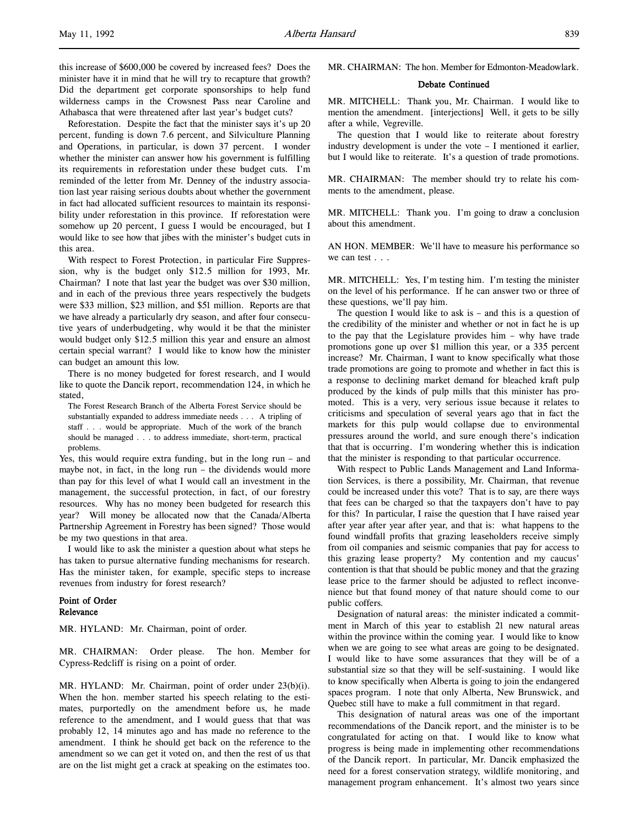Reforestation. Despite the fact that the minister says it's up 20 percent, funding is down 7.6 percent, and Silviculture Planning and Operations, in particular, is down 37 percent. I wonder whether the minister can answer how his government is fulfilling its requirements in reforestation under these budget cuts. I'm reminded of the letter from Mr. Denney of the industry association last year raising serious doubts about whether the government in fact had allocated sufficient resources to maintain its responsibility under reforestation in this province. If reforestation were somehow up 20 percent, I guess I would be encouraged, but I would like to see how that jibes with the minister's budget cuts in this area.

With respect to Forest Protection, in particular Fire Suppression, why is the budget only \$12.5 million for 1993, Mr. Chairman? I note that last year the budget was over \$30 million, and in each of the previous three years respectively the budgets were \$33 million, \$23 million, and \$51 million. Reports are that we have already a particularly dry season, and after four consecutive years of underbudgeting, why would it be that the minister would budget only \$12.5 million this year and ensure an almost certain special warrant? I would like to know how the minister can budget an amount this low.

There is no money budgeted for forest research, and I would like to quote the Dancik report, recommendation 124, in which he stated,

The Forest Research Branch of the Alberta Forest Service should be substantially expanded to address immediate needs . . . A tripling of staff . . . would be appropriate. Much of the work of the branch should be managed . . . to address immediate, short-term, practical problems.

Yes, this would require extra funding, but in the long run – and maybe not, in fact, in the long run – the dividends would more than pay for this level of what I would call an investment in the management, the successful protection, in fact, of our forestry resources. Why has no money been budgeted for research this year? Will money be allocated now that the Canada/Alberta Partnership Agreement in Forestry has been signed? Those would be my two questions in that area.

I would like to ask the minister a question about what steps he has taken to pursue alternative funding mechanisms for research. Has the minister taken, for example, specific steps to increase revenues from industry for forest research?

# Point of Order Relevance

MR. HYLAND: Mr. Chairman, point of order.

MR. CHAIRMAN: Order please. The hon. Member for Cypress-Redcliff is rising on a point of order.

MR. HYLAND: Mr. Chairman, point of order under 23(b)(i). When the hon. member started his speech relating to the estimates, purportedly on the amendment before us, he made reference to the amendment, and I would guess that that was probably 12, 14 minutes ago and has made no reference to the amendment. I think he should get back on the reference to the amendment so we can get it voted on, and then the rest of us that are on the list might get a crack at speaking on the estimates too.

MR. CHAIRMAN: The hon. Member for Edmonton-Meadowlark.

### Debate Continued

MR. MITCHELL: Thank you, Mr. Chairman. I would like to mention the amendment. [interjections] Well, it gets to be silly after a while, Vegreville.

The question that I would like to reiterate about forestry industry development is under the vote – I mentioned it earlier, but I would like to reiterate. It's a question of trade promotions.

MR. CHAIRMAN: The member should try to relate his comments to the amendment, please.

MR. MITCHELL: Thank you. I'm going to draw a conclusion about this amendment.

AN HON. MEMBER: We'll have to measure his performance so we can test . . .

MR. MITCHELL: Yes, I'm testing him. I'm testing the minister on the level of his performance. If he can answer two or three of these questions, we'll pay him.

The question I would like to ask is  $-$  and this is a question of the credibility of the minister and whether or not in fact he is up to the pay that the Legislature provides him – why have trade promotions gone up over \$1 million this year, or a 335 percent increase? Mr. Chairman, I want to know specifically what those trade promotions are going to promote and whether in fact this is a response to declining market demand for bleached kraft pulp produced by the kinds of pulp mills that this minister has promoted. This is a very, very serious issue because it relates to criticisms and speculation of several years ago that in fact the markets for this pulp would collapse due to environmental pressures around the world, and sure enough there's indication that that is occurring. I'm wondering whether this is indication that the minister is responding to that particular occurrence.

With respect to Public Lands Management and Land Information Services, is there a possibility, Mr. Chairman, that revenue could be increased under this vote? That is to say, are there ways that fees can be charged so that the taxpayers don't have to pay for this? In particular, I raise the question that I have raised year after year after year after year, and that is: what happens to the found windfall profits that grazing leaseholders receive simply from oil companies and seismic companies that pay for access to this grazing lease property? My contention and my caucus' contention is that that should be public money and that the grazing lease price to the farmer should be adjusted to reflect inconvenience but that found money of that nature should come to our public coffers.

Designation of natural areas: the minister indicated a commitment in March of this year to establish 21 new natural areas within the province within the coming year. I would like to know when we are going to see what areas are going to be designated. I would like to have some assurances that they will be of a substantial size so that they will be self-sustaining. I would like to know specifically when Alberta is going to join the endangered spaces program. I note that only Alberta, New Brunswick, and Quebec still have to make a full commitment in that regard.

This designation of natural areas was one of the important recommendations of the Dancik report, and the minister is to be congratulated for acting on that. I would like to know what progress is being made in implementing other recommendations of the Dancik report. In particular, Mr. Dancik emphasized the need for a forest conservation strategy, wildlife monitoring, and management program enhancement. It's almost two years since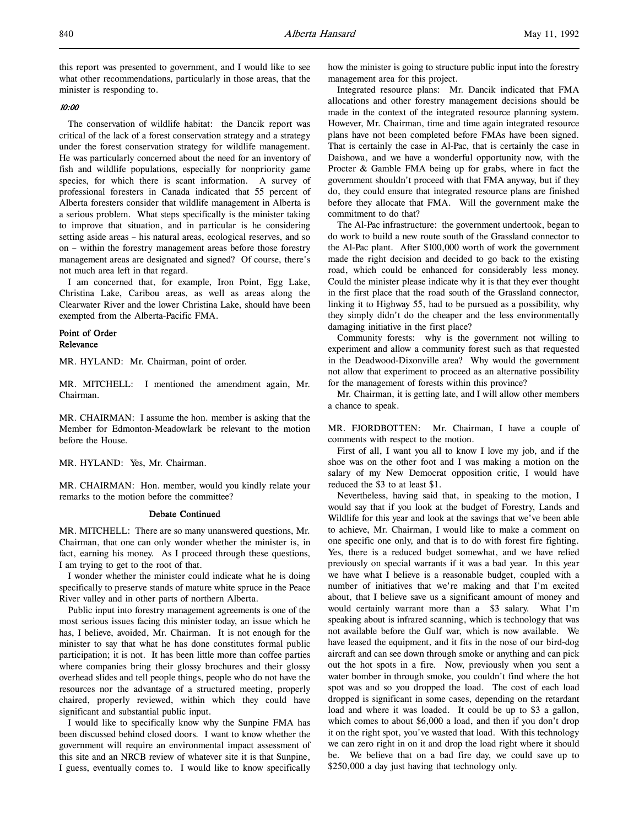this report was presented to government, and I would like to see what other recommendations, particularly in those areas, that the minister is responding to.

### 10:00

The conservation of wildlife habitat: the Dancik report was critical of the lack of a forest conservation strategy and a strategy under the forest conservation strategy for wildlife management. He was particularly concerned about the need for an inventory of fish and wildlife populations, especially for nonpriority game species, for which there is scant information. A survey of professional foresters in Canada indicated that 55 percent of Alberta foresters consider that wildlife management in Alberta is a serious problem. What steps specifically is the minister taking to improve that situation, and in particular is he considering setting aside areas – his natural areas, ecological reserves, and so on – within the forestry management areas before those forestry management areas are designated and signed? Of course, there's not much area left in that regard.

I am concerned that, for example, Iron Point, Egg Lake, Christina Lake, Caribou areas, as well as areas along the Clearwater River and the lower Christina Lake, should have been exempted from the Alberta-Pacific FMA.

# Point of Order Relevance

MR. HYLAND: Mr. Chairman, point of order.

MR. MITCHELL: I mentioned the amendment again, Mr. Chairman.

MR. CHAIRMAN: I assume the hon. member is asking that the Member for Edmonton-Meadowlark be relevant to the motion before the House.

MR. HYLAND: Yes, Mr. Chairman.

MR. CHAIRMAN: Hon. member, would you kindly relate your remarks to the motion before the committee?

### Debate Continued

MR. MITCHELL: There are so many unanswered questions, Mr. Chairman, that one can only wonder whether the minister is, in fact, earning his money. As I proceed through these questions, I am trying to get to the root of that.

I wonder whether the minister could indicate what he is doing specifically to preserve stands of mature white spruce in the Peace River valley and in other parts of northern Alberta.

Public input into forestry management agreements is one of the most serious issues facing this minister today, an issue which he has, I believe, avoided, Mr. Chairman. It is not enough for the minister to say that what he has done constitutes formal public participation; it is not. It has been little more than coffee parties where companies bring their glossy brochures and their glossy overhead slides and tell people things, people who do not have the resources nor the advantage of a structured meeting, properly chaired, properly reviewed, within which they could have significant and substantial public input.

I would like to specifically know why the Sunpine FMA has been discussed behind closed doors. I want to know whether the government will require an environmental impact assessment of this site and an NRCB review of whatever site it is that Sunpine, I guess, eventually comes to. I would like to know specifically

how the minister is going to structure public input into the forestry management area for this project.

Integrated resource plans: Mr. Dancik indicated that FMA allocations and other forestry management decisions should be made in the context of the integrated resource planning system. However, Mr. Chairman, time and time again integrated resource plans have not been completed before FMAs have been signed. That is certainly the case in Al-Pac, that is certainly the case in Daishowa, and we have a wonderful opportunity now, with the Procter & Gamble FMA being up for grabs, where in fact the government shouldn't proceed with that FMA anyway, but if they do, they could ensure that integrated resource plans are finished before they allocate that FMA. Will the government make the commitment to do that?

The Al-Pac infrastructure: the government undertook, began to do work to build a new route south of the Grassland connector to the Al-Pac plant. After \$100,000 worth of work the government made the right decision and decided to go back to the existing road, which could be enhanced for considerably less money. Could the minister please indicate why it is that they ever thought in the first place that the road south of the Grassland connector, linking it to Highway 55, had to be pursued as a possibility, why they simply didn't do the cheaper and the less environmentally damaging initiative in the first place?

Community forests: why is the government not willing to experiment and allow a community forest such as that requested in the Deadwood-Dixonville area? Why would the government not allow that experiment to proceed as an alternative possibility for the management of forests within this province?

Mr. Chairman, it is getting late, and I will allow other members a chance to speak.

MR. FJORDBOTTEN: Mr. Chairman, I have a couple of comments with respect to the motion.

First of all, I want you all to know I love my job, and if the shoe was on the other foot and I was making a motion on the salary of my New Democrat opposition critic, I would have reduced the \$3 to at least \$1.

Nevertheless, having said that, in speaking to the motion, I would say that if you look at the budget of Forestry, Lands and Wildlife for this year and look at the savings that we've been able to achieve, Mr. Chairman, I would like to make a comment on one specific one only, and that is to do with forest fire fighting. Yes, there is a reduced budget somewhat, and we have relied previously on special warrants if it was a bad year. In this year we have what I believe is a reasonable budget, coupled with a number of initiatives that we're making and that I'm excited about, that I believe save us a significant amount of money and would certainly warrant more than a \$3 salary. What I'm speaking about is infrared scanning, which is technology that was not available before the Gulf war, which is now available. We have leased the equipment, and it fits in the nose of our bird-dog aircraft and can see down through smoke or anything and can pick out the hot spots in a fire. Now, previously when you sent a water bomber in through smoke, you couldn't find where the hot spot was and so you dropped the load. The cost of each load dropped is significant in some cases, depending on the retardant load and where it was loaded. It could be up to \$3 a gallon, which comes to about \$6,000 a load, and then if you don't drop it on the right spot, you've wasted that load. With this technology we can zero right in on it and drop the load right where it should be. We believe that on a bad fire day, we could save up to \$250,000 a day just having that technology only.